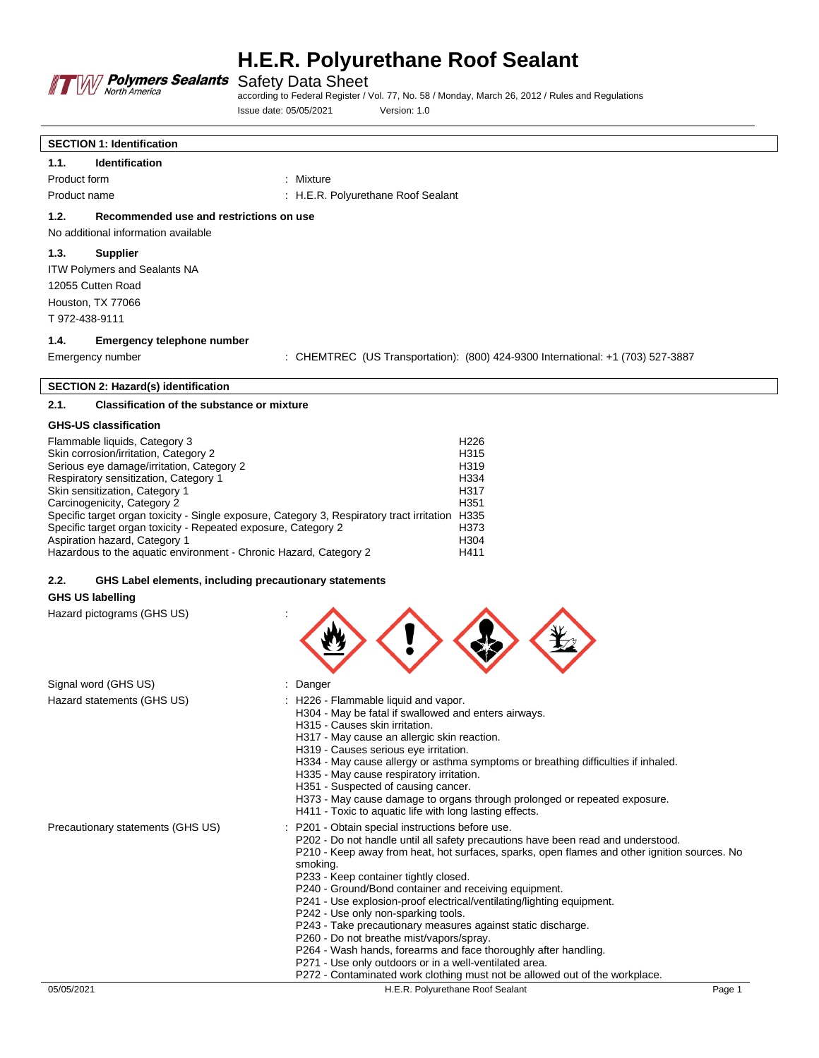

according to Federal Register / Vol. 77, No. 58 / Monday, March 26, 2012 / Rules and Regulations Issue date: 05/05/2021 Version: 1.0

| <b>SECTION 1: Identification</b>    |                                         |                                    |  |
|-------------------------------------|-----------------------------------------|------------------------------------|--|
| 1.1.                                | <b>Identification</b>                   |                                    |  |
| Product form                        |                                         | : Mixture                          |  |
| Product name                        |                                         | : H.E.R. Polyurethane Roof Sealant |  |
| 1.2.                                | Recommended use and restrictions on use |                                    |  |
| No additional information available |                                         |                                    |  |
| 1.3.                                | <b>Supplier</b>                         |                                    |  |
| <b>ITW Polymers and Sealants NA</b> |                                         |                                    |  |
|                                     | 12055 Cutten Road                       |                                    |  |
| Houston, TX 77066                   |                                         |                                    |  |
| T 972-438-9111                      |                                         |                                    |  |
|                                     |                                         |                                    |  |

#### **1.4. Emergency telephone number**

 $\lceil$ 

Emergency number : CHEMTREC (US Transportation): (800) 424-9300 International: +1 (703) 527-3887

## **SECTION 2: Hazard(s) identification**

# **2.1. Classification of the substance or mixture**

### **GHS-US classification**

| Flammable liquids, Category 3<br>Skin corrosion/irritation, Category 2<br>Serious eye damage/irritation, Category 2<br>Respiratory sensitization, Category 1<br>Skin sensitization, Category 1<br>Carcinogenicity, Category 2<br>Specific target organ toxicity - Single exposure, Category 3, Respiratory tract irritation<br>Specific target organ toxicity - Repeated exposure, Category 2<br>Aspiration hazard, Category 1 | H <sub>226</sub><br>H <sub>315</sub><br>H <sub>319</sub><br>H334<br>H <sub>317</sub><br>H351<br>H335<br>H373<br>H <sub>304</sub> |
|--------------------------------------------------------------------------------------------------------------------------------------------------------------------------------------------------------------------------------------------------------------------------------------------------------------------------------------------------------------------------------------------------------------------------------|----------------------------------------------------------------------------------------------------------------------------------|
| Hazardous to the aquatic environment - Chronic Hazard, Category 2                                                                                                                                                                                                                                                                                                                                                              | H411                                                                                                                             |
|                                                                                                                                                                                                                                                                                                                                                                                                                                |                                                                                                                                  |

### **2.2. GHS Label elements, including precautionary statements**

## **GHS US labelling**

Hazard pictograms (GHS US) :



| Signal word (GHS US)              | : Danger                                                                                                                                                                                                                                                                                                                                                                                                                                                                                                                                                                                                                                                                                                                                                                                   |        |
|-----------------------------------|--------------------------------------------------------------------------------------------------------------------------------------------------------------------------------------------------------------------------------------------------------------------------------------------------------------------------------------------------------------------------------------------------------------------------------------------------------------------------------------------------------------------------------------------------------------------------------------------------------------------------------------------------------------------------------------------------------------------------------------------------------------------------------------------|--------|
| Hazard statements (GHS US)        | : H226 - Flammable liquid and vapor.<br>H304 - May be fatal if swallowed and enters airways.<br>H315 - Causes skin irritation.<br>H317 - May cause an allergic skin reaction.<br>H319 - Causes serious eye irritation.<br>H334 - May cause allergy or asthma symptoms or breathing difficulties if inhaled.<br>H335 - May cause respiratory irritation.<br>H351 - Suspected of causing cancer.<br>H373 - May cause damage to organs through prolonged or repeated exposure.<br>H411 - Toxic to aquatic life with long lasting effects.                                                                                                                                                                                                                                                     |        |
| Precautionary statements (GHS US) | : P201 - Obtain special instructions before use.<br>P202 - Do not handle until all safety precautions have been read and understood.<br>P210 - Keep away from heat, hot surfaces, sparks, open flames and other ignition sources. No<br>smoking.<br>P233 - Keep container tightly closed.<br>P240 - Ground/Bond container and receiving equipment.<br>P241 - Use explosion-proof electrical/ventilating/lighting equipment.<br>P242 - Use only non-sparking tools.<br>P243 - Take precautionary measures against static discharge.<br>P260 - Do not breathe mist/vapors/spray.<br>P264 - Wash hands, forearms and face thoroughly after handling.<br>P271 - Use only outdoors or in a well-ventilated area.<br>P272 - Contaminated work clothing must not be allowed out of the workplace. |        |
| 05/05/2021                        | H.E.R. Polyurethane Roof Sealant                                                                                                                                                                                                                                                                                                                                                                                                                                                                                                                                                                                                                                                                                                                                                           | Page 1 |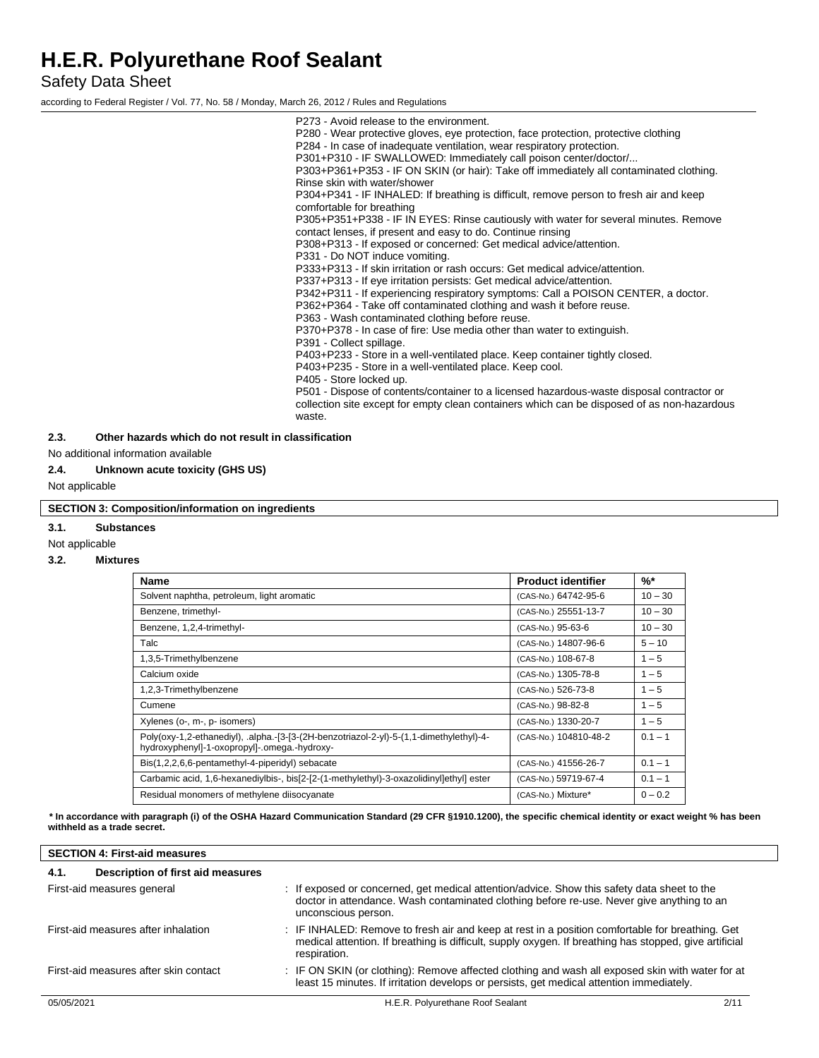Safety Data Sheet

according to Federal Register / Vol. 77, No. 58 / Monday, March 26, 2012 / Rules and Regulations

P273 - Avoid release to the environment. P280 - Wear protective gloves, eye protection, face protection, protective clothing P284 - In case of inadequate ventilation, wear respiratory protection. P301+P310 - IF SWALLOWED: Immediately call poison center/doctor/... P303+P361+P353 - IF ON SKIN (or hair): Take off immediately all contaminated clothing. Rinse skin with water/shower P304+P341 - IF INHALED: If breathing is difficult, remove person to fresh air and keep comfortable for breathing P305+P351+P338 - IF IN EYES: Rinse cautiously with water for several minutes. Remove contact lenses, if present and easy to do. Continue rinsing P308+P313 - If exposed or concerned: Get medical advice/attention. P331 - Do NOT induce vomiting. P333+P313 - If skin irritation or rash occurs: Get medical advice/attention. P337+P313 - If eye irritation persists: Get medical advice/attention. P342+P311 - If experiencing respiratory symptoms: Call a POISON CENTER, a doctor. P362+P364 - Take off contaminated clothing and wash it before reuse. P363 - Wash contaminated clothing before reuse. P370+P378 - In case of fire: Use media other than water to extinguish. P391 - Collect spillage. P403+P233 - Store in a well-ventilated place. Keep container tightly closed. P403+P235 - Store in a well-ventilated place. Keep cool. P405 - Store locked up. P501 - Dispose of contents/container to a licensed hazardous-waste disposal contractor or collection site except for empty clean containers which can be disposed of as non-hazardous waste.

#### **2.3. Other hazards which do not result in classification**

No additional information available

### **2.4. Unknown acute toxicity (GHS US)**

Not applicable

#### **SECTION 3: Composition/information on ingredients**

**3.1. Substances**

#### Not applicable

#### **3.2. Mixtures**

| <b>Name</b>                                                                                                                             | <b>Product identifier</b> | $\frac{9}{6}$ * |
|-----------------------------------------------------------------------------------------------------------------------------------------|---------------------------|-----------------|
| Solvent naphtha, petroleum, light aromatic                                                                                              | (CAS-No.) 64742-95-6      | $10 - 30$       |
| Benzene, trimethyl-                                                                                                                     | (CAS-No.) 25551-13-7      | $10 - 30$       |
| Benzene, 1,2,4-trimethyl-                                                                                                               | (CAS-No.) 95-63-6         | $10 - 30$       |
| Talc                                                                                                                                    | (CAS-No.) 14807-96-6      | $5 - 10$        |
| 1,3,5-Trimethylbenzene                                                                                                                  | (CAS-No.) 108-67-8        | $1 - 5$         |
| Calcium oxide                                                                                                                           | (CAS-No.) 1305-78-8       | $1 - 5$         |
| 1,2,3-Trimethylbenzene                                                                                                                  | (CAS-No.) 526-73-8        | $1 - 5$         |
| Cumene                                                                                                                                  | (CAS-No.) 98-82-8         | $1 - 5$         |
| Xylenes (o-, m-, p- isomers)                                                                                                            | (CAS-No.) 1330-20-7       | $1 - 5$         |
| Poly(oxy-1,2-ethanediyl), .alpha.-[3-[3-(2H-benzotriazol-2-yl)-5-(1,1-dimethylethyl)-4-<br>hydroxyphenyl]-1-oxopropyl]-.omega.-hydroxy- | (CAS-No.) 104810-48-2     | $0.1 - 1$       |
| Bis(1,2,2,6,6-pentamethyl-4-piperidyl) sebacate                                                                                         | (CAS-No.) 41556-26-7      | $0.1 - 1$       |
| Carbamic acid, 1,6-hexanediylbis-, bis[2-[2-(1-methylethyl)-3-oxazolidinyl]ethyl] ester                                                 | (CAS-No.) 59719-67-4      | $0.1 - 1$       |
| Residual monomers of methylene diisocyanate                                                                                             | (CAS-No.) Mixture*        | $0 - 0.2$       |

**\* In accordance with paragraph (i) of the OSHA Hazard Communication Standard (29 CFR §1910.1200), the specific chemical identity or exact weight % has been withheld as a trade secret.**

| <b>SECTION 4: First-aid measures</b>      |                                                                                                                                                                                                                           |      |
|-------------------------------------------|---------------------------------------------------------------------------------------------------------------------------------------------------------------------------------------------------------------------------|------|
| Description of first aid measures<br>4.1. |                                                                                                                                                                                                                           |      |
| First-aid measures general                | : If exposed or concerned, get medical attention/advice. Show this safety data sheet to the<br>doctor in attendance. Wash contaminated clothing before re-use. Never give anything to an<br>unconscious person.           |      |
| First-aid measures after inhalation       | : IF INHALED: Remove to fresh air and keep at rest in a position comfortable for breathing. Get<br>medical attention. If breathing is difficult, supply oxygen. If breathing has stopped, give artificial<br>respiration. |      |
| First-aid measures after skin contact     | : IF ON SKIN (or clothing): Remove affected clothing and wash all exposed skin with water for at<br>least 15 minutes. If irritation develops or persists, get medical attention immediately.                              |      |
| 05/05/2021                                | H.E.R. Polyurethane Roof Sealant                                                                                                                                                                                          | 2/11 |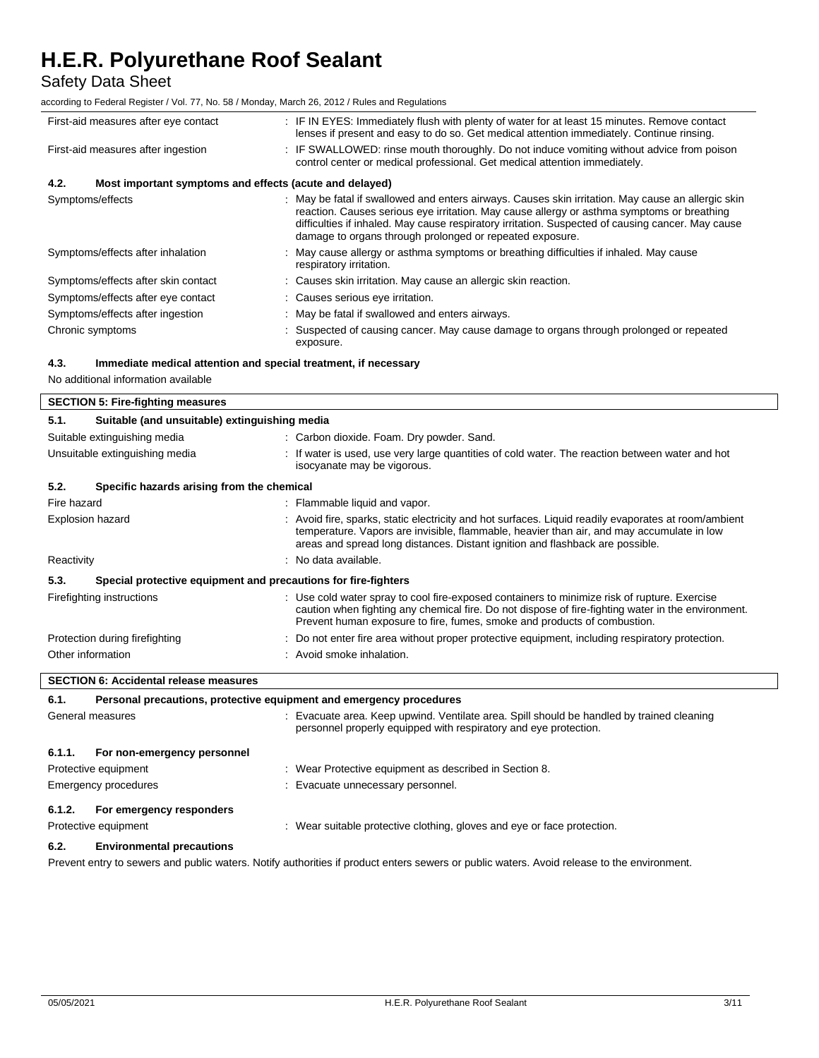Safety Data Sheet

according to Federal Register / Vol. 77, No. 58 / Monday, March 26, 2012 / Rules and Regulations

| First-aid measures after eye contact                            |  | : IF IN EYES: Immediately flush with plenty of water for at least 15 minutes. Remove contact<br>lenses if present and easy to do so. Get medical attention immediately. Continue rinsing.                                                                                                                                                                       |
|-----------------------------------------------------------------|--|-----------------------------------------------------------------------------------------------------------------------------------------------------------------------------------------------------------------------------------------------------------------------------------------------------------------------------------------------------------------|
| First-aid measures after ingestion                              |  | : IF SWALLOWED: rinse mouth thoroughly. Do not induce vomiting without advice from poison<br>control center or medical professional. Get medical attention immediately.                                                                                                                                                                                         |
| 4.2.<br>Most important symptoms and effects (acute and delayed) |  |                                                                                                                                                                                                                                                                                                                                                                 |
| Symptoms/effects                                                |  | May be fatal if swallowed and enters airways. Causes skin irritation. May cause an allergic skin<br>reaction. Causes serious eye irritation. May cause allergy or asthma symptoms or breathing<br>difficulties if inhaled. May cause respiratory irritation. Suspected of causing cancer. May cause<br>damage to organs through prolonged or repeated exposure. |
| Symptoms/effects after inhalation                               |  | : May cause allergy or asthma symptoms or breathing difficulties if inhaled. May cause<br>respiratory irritation.                                                                                                                                                                                                                                               |
| Symptoms/effects after skin contact                             |  | : Causes skin irritation. May cause an allergic skin reaction.                                                                                                                                                                                                                                                                                                  |
| Symptoms/effects after eye contact                              |  | : Causes serious eye irritation.                                                                                                                                                                                                                                                                                                                                |
| Symptoms/effects after ingestion                                |  | : May be fatal if swallowed and enters airways.                                                                                                                                                                                                                                                                                                                 |
| Chronic symptoms                                                |  | : Suspected of causing cancer. May cause damage to organs through prolonged or repeated<br>exposure.                                                                                                                                                                                                                                                            |

### **4.3. Immediate medical attention and special treatment, if necessary**

No additional information available

#### **SECTION 5: Fire-fighting measures**

| 5.1.                         | Suitable (and unsuitable) extinguishing media                       |                                                                                                                                                                                                                                                                                    |  |
|------------------------------|---------------------------------------------------------------------|------------------------------------------------------------------------------------------------------------------------------------------------------------------------------------------------------------------------------------------------------------------------------------|--|
| Suitable extinguishing media |                                                                     | : Carbon dioxide. Foam. Dry powder. Sand.                                                                                                                                                                                                                                          |  |
|                              | Unsuitable extinguishing media                                      | If water is used, use very large quantities of cold water. The reaction between water and hot<br>isocyanate may be vigorous.                                                                                                                                                       |  |
| 5.2.                         | Specific hazards arising from the chemical                          |                                                                                                                                                                                                                                                                                    |  |
| Fire hazard                  |                                                                     | : Flammable liquid and vapor.                                                                                                                                                                                                                                                      |  |
|                              | <b>Explosion hazard</b>                                             | : Avoid fire, sparks, static electricity and hot surfaces. Liquid readily evaporates at room/ambient<br>temperature. Vapors are invisible, flammable, heavier than air, and may accumulate in low<br>areas and spread long distances. Distant ignition and flashback are possible. |  |
| Reactivity                   |                                                                     | : No data available.                                                                                                                                                                                                                                                               |  |
| 5.3.                         | Special protective equipment and precautions for fire-fighters      |                                                                                                                                                                                                                                                                                    |  |
|                              | Firefighting instructions                                           | : Use cold water spray to cool fire-exposed containers to minimize risk of rupture. Exercise<br>caution when fighting any chemical fire. Do not dispose of fire-fighting water in the environment.<br>Prevent human exposure to fire, fumes, smoke and products of combustion.     |  |
|                              | Protection during firefighting                                      | : Do not enter fire area without proper protective equipment, including respiratory protection.                                                                                                                                                                                    |  |
|                              | Other information                                                   | : Avoid smoke inhalation.                                                                                                                                                                                                                                                          |  |
|                              | <b>SECTION 6: Accidental release measures</b>                       |                                                                                                                                                                                                                                                                                    |  |
| 6.1.                         | Personal precautions, protective equipment and emergency procedures |                                                                                                                                                                                                                                                                                    |  |
|                              | General measures                                                    | Evacuate area. Keep upwind. Ventilate area. Spill should be handled by trained cleaning<br>personnel properly equipped with respiratory and eye protection.                                                                                                                        |  |
| 6.1.1.                       | For non-emergency personnel                                         |                                                                                                                                                                                                                                                                                    |  |
| Protective equipment         |                                                                     | : Wear Protective equipment as described in Section 8.                                                                                                                                                                                                                             |  |

# **6.1.2. For emergency responders**

Protective equipment : Wear suitable protective clothing, gloves and eye or face protection.

 $\overline{\Gamma}$ 

**6.2. Environmental precautions**

Emergency procedures **in the contract of the Contract Evacuate unnecessary personnel.** 

Prevent entry to sewers and public waters. Notify authorities if product enters sewers or public waters. Avoid release to the environment.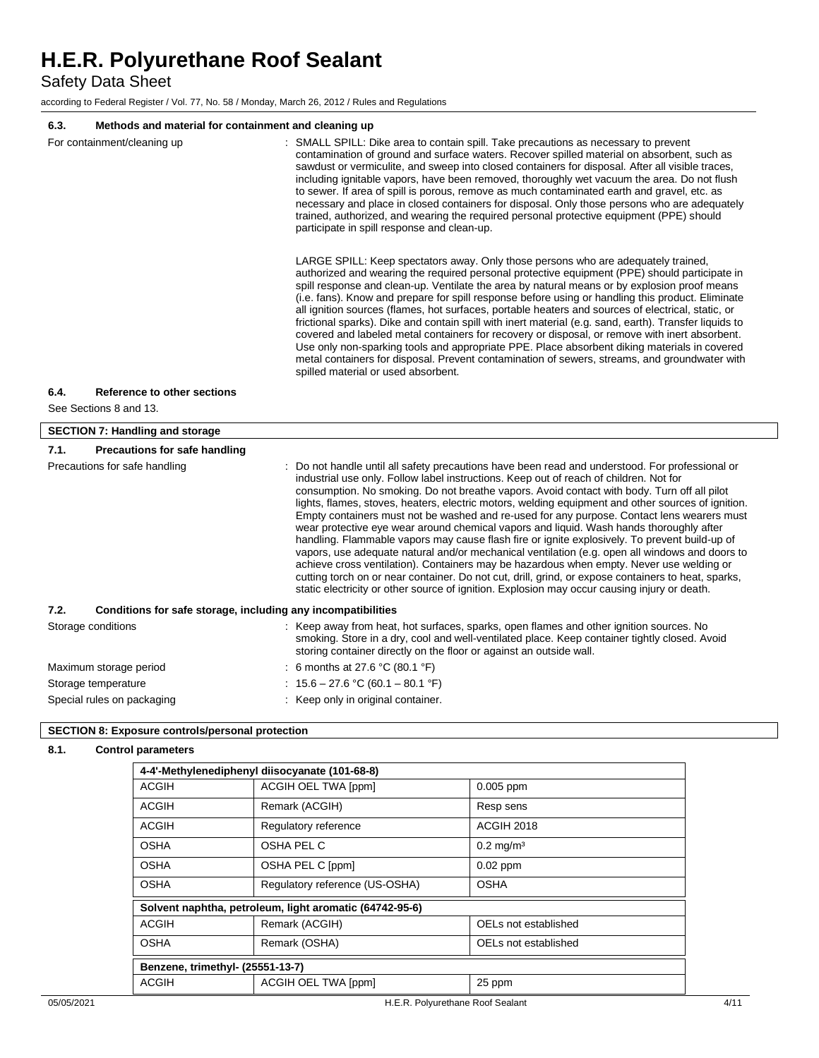Safety Data Sheet

according to Federal Register / Vol. 77, No. 58 / Monday, March 26, 2012 / Rules and Regulations

# **6.3. Methods and material for containment and cleaning up**

| დ.ა.<br><u>Methods and material for containment and cleaning up</u>                                                                                                                                                                                                                                                                                                                                                                                                                                                                                                                                                                                                                                                                                                                                                                                                                                                                                                                                                                                                                                                                                                                                                                                                                                                                                                                                                                                                                                                                                                                                                                                                                                                |                                                                                                                                                                                                                                                                                                                                                                                                                                                                                                                                                                                                                                                                                                                                                                                                                                                                                                                                                                                                                                                                                             |  |  |
|--------------------------------------------------------------------------------------------------------------------------------------------------------------------------------------------------------------------------------------------------------------------------------------------------------------------------------------------------------------------------------------------------------------------------------------------------------------------------------------------------------------------------------------------------------------------------------------------------------------------------------------------------------------------------------------------------------------------------------------------------------------------------------------------------------------------------------------------------------------------------------------------------------------------------------------------------------------------------------------------------------------------------------------------------------------------------------------------------------------------------------------------------------------------------------------------------------------------------------------------------------------------------------------------------------------------------------------------------------------------------------------------------------------------------------------------------------------------------------------------------------------------------------------------------------------------------------------------------------------------------------------------------------------------------------------------------------------------|---------------------------------------------------------------------------------------------------------------------------------------------------------------------------------------------------------------------------------------------------------------------------------------------------------------------------------------------------------------------------------------------------------------------------------------------------------------------------------------------------------------------------------------------------------------------------------------------------------------------------------------------------------------------------------------------------------------------------------------------------------------------------------------------------------------------------------------------------------------------------------------------------------------------------------------------------------------------------------------------------------------------------------------------------------------------------------------------|--|--|
| : SMALL SPILL: Dike area to contain spill. Take precautions as necessary to prevent<br>For containment/cleaning up<br>contamination of ground and surface waters. Recover spilled material on absorbent, such as<br>sawdust or vermiculite, and sweep into closed containers for disposal. After all visible traces,<br>including ignitable vapors, have been removed, thoroughly wet vacuum the area. Do not flush<br>to sewer. If area of spill is porous, remove as much contaminated earth and gravel, etc. as<br>necessary and place in closed containers for disposal. Only those persons who are adequately<br>trained, authorized, and wearing the required personal protective equipment (PPE) should<br>participate in spill response and clean-up.<br>LARGE SPILL: Keep spectators away. Only those persons who are adequately trained,<br>authorized and wearing the required personal protective equipment (PPE) should participate in<br>spill response and clean-up. Ventilate the area by natural means or by explosion proof means<br>(i.e. fans). Know and prepare for spill response before using or handling this product. Eliminate<br>all ignition sources (flames, hot surfaces, portable heaters and sources of electrical, static, or<br>frictional sparks). Dike and contain spill with inert material (e.g. sand, earth). Transfer liquids to<br>covered and labeled metal containers for recovery or disposal, or remove with inert absorbent.<br>Use only non-sparking tools and appropriate PPE. Place absorbent diking materials in covered<br>metal containers for disposal. Prevent contamination of sewers, streams, and groundwater with<br>spilled material or used absorbent. |                                                                                                                                                                                                                                                                                                                                                                                                                                                                                                                                                                                                                                                                                                                                                                                                                                                                                                                                                                                                                                                                                             |  |  |
|                                                                                                                                                                                                                                                                                                                                                                                                                                                                                                                                                                                                                                                                                                                                                                                                                                                                                                                                                                                                                                                                                                                                                                                                                                                                                                                                                                                                                                                                                                                                                                                                                                                                                                                    |                                                                                                                                                                                                                                                                                                                                                                                                                                                                                                                                                                                                                                                                                                                                                                                                                                                                                                                                                                                                                                                                                             |  |  |
| 6.4.<br>Reference to other sections                                                                                                                                                                                                                                                                                                                                                                                                                                                                                                                                                                                                                                                                                                                                                                                                                                                                                                                                                                                                                                                                                                                                                                                                                                                                                                                                                                                                                                                                                                                                                                                                                                                                                |                                                                                                                                                                                                                                                                                                                                                                                                                                                                                                                                                                                                                                                                                                                                                                                                                                                                                                                                                                                                                                                                                             |  |  |
|                                                                                                                                                                                                                                                                                                                                                                                                                                                                                                                                                                                                                                                                                                                                                                                                                                                                                                                                                                                                                                                                                                                                                                                                                                                                                                                                                                                                                                                                                                                                                                                                                                                                                                                    |                                                                                                                                                                                                                                                                                                                                                                                                                                                                                                                                                                                                                                                                                                                                                                                                                                                                                                                                                                                                                                                                                             |  |  |
| See Sections 8 and 13.                                                                                                                                                                                                                                                                                                                                                                                                                                                                                                                                                                                                                                                                                                                                                                                                                                                                                                                                                                                                                                                                                                                                                                                                                                                                                                                                                                                                                                                                                                                                                                                                                                                                                             |                                                                                                                                                                                                                                                                                                                                                                                                                                                                                                                                                                                                                                                                                                                                                                                                                                                                                                                                                                                                                                                                                             |  |  |
| <b>SECTION 7: Handling and storage</b>                                                                                                                                                                                                                                                                                                                                                                                                                                                                                                                                                                                                                                                                                                                                                                                                                                                                                                                                                                                                                                                                                                                                                                                                                                                                                                                                                                                                                                                                                                                                                                                                                                                                             |                                                                                                                                                                                                                                                                                                                                                                                                                                                                                                                                                                                                                                                                                                                                                                                                                                                                                                                                                                                                                                                                                             |  |  |
| 7.1.<br><b>Precautions for safe handling</b>                                                                                                                                                                                                                                                                                                                                                                                                                                                                                                                                                                                                                                                                                                                                                                                                                                                                                                                                                                                                                                                                                                                                                                                                                                                                                                                                                                                                                                                                                                                                                                                                                                                                       |                                                                                                                                                                                                                                                                                                                                                                                                                                                                                                                                                                                                                                                                                                                                                                                                                                                                                                                                                                                                                                                                                             |  |  |
| Precautions for safe handling                                                                                                                                                                                                                                                                                                                                                                                                                                                                                                                                                                                                                                                                                                                                                                                                                                                                                                                                                                                                                                                                                                                                                                                                                                                                                                                                                                                                                                                                                                                                                                                                                                                                                      | Do not handle until all safety precautions have been read and understood. For professional or<br>industrial use only. Follow label instructions. Keep out of reach of children. Not for<br>consumption. No smoking. Do not breathe vapors. Avoid contact with body. Turn off all pilot<br>lights, flames, stoves, heaters, electric motors, welding equipment and other sources of ignition.<br>Empty containers must not be washed and re-used for any purpose. Contact lens wearers must<br>wear protective eye wear around chemical vapors and liquid. Wash hands thoroughly after<br>handling. Flammable vapors may cause flash fire or ignite explosively. To prevent build-up of<br>vapors, use adequate natural and/or mechanical ventilation (e.g. open all windows and doors to<br>achieve cross ventilation). Containers may be hazardous when empty. Never use welding or<br>cutting torch on or near container. Do not cut, drill, grind, or expose containers to heat, sparks,<br>static electricity or other source of ignition. Explosion may occur causing injury or death. |  |  |
| 7.2.<br>Conditions for safe storage, including any incompatibilities                                                                                                                                                                                                                                                                                                                                                                                                                                                                                                                                                                                                                                                                                                                                                                                                                                                                                                                                                                                                                                                                                                                                                                                                                                                                                                                                                                                                                                                                                                                                                                                                                                               |                                                                                                                                                                                                                                                                                                                                                                                                                                                                                                                                                                                                                                                                                                                                                                                                                                                                                                                                                                                                                                                                                             |  |  |
| Storage conditions                                                                                                                                                                                                                                                                                                                                                                                                                                                                                                                                                                                                                                                                                                                                                                                                                                                                                                                                                                                                                                                                                                                                                                                                                                                                                                                                                                                                                                                                                                                                                                                                                                                                                                 | : Keep away from heat, hot surfaces, sparks, open flames and other ignition sources. No<br>smoking. Store in a dry, cool and well-ventilated place. Keep container tightly closed. Avoid<br>storing container directly on the floor or against an outside wall.                                                                                                                                                                                                                                                                                                                                                                                                                                                                                                                                                                                                                                                                                                                                                                                                                             |  |  |
| Maximum storage period                                                                                                                                                                                                                                                                                                                                                                                                                                                                                                                                                                                                                                                                                                                                                                                                                                                                                                                                                                                                                                                                                                                                                                                                                                                                                                                                                                                                                                                                                                                                                                                                                                                                                             | : 6 months at 27.6 °C (80.1 °F)                                                                                                                                                                                                                                                                                                                                                                                                                                                                                                                                                                                                                                                                                                                                                                                                                                                                                                                                                                                                                                                             |  |  |

Special rules on packaging **in the set of the set of the Special rules** on packaging in the set of the Special container.

# **SECTION 8: Exposure controls/personal protection**

# **8.1. Control parameters**

|                                  | 4-4'-Methylenediphenyl diisocyanate (101-68-8)          |                         |  |  |  |
|----------------------------------|---------------------------------------------------------|-------------------------|--|--|--|
| ACGIH                            | ACGIH OEL TWA [ppm]                                     | $0.005$ ppm             |  |  |  |
| <b>ACGIH</b>                     | Remark (ACGIH)                                          | Resp sens               |  |  |  |
| ACGIH                            | Regulatory reference                                    | ACGIH 2018              |  |  |  |
| <b>OSHA</b>                      | OSHA PEL C                                              | $0.2$ mg/m <sup>3</sup> |  |  |  |
| <b>OSHA</b>                      | OSHA PEL C [ppm]                                        | $0.02$ ppm              |  |  |  |
| <b>OSHA</b>                      | Regulatory reference (US-OSHA)                          | <b>OSHA</b>             |  |  |  |
|                                  | Solvent naphtha, petroleum, light aromatic (64742-95-6) |                         |  |  |  |
| ACGIH                            | Remark (ACGIH)                                          | OELs not established    |  |  |  |
| <b>OSHA</b>                      | Remark (OSHA)                                           | OELs not established    |  |  |  |
| Benzene, trimethyl- (25551-13-7) |                                                         |                         |  |  |  |
| <b>ACGIH</b>                     | <b>ACGIH OEL TWA [ppm]</b>                              | 25 ppm                  |  |  |  |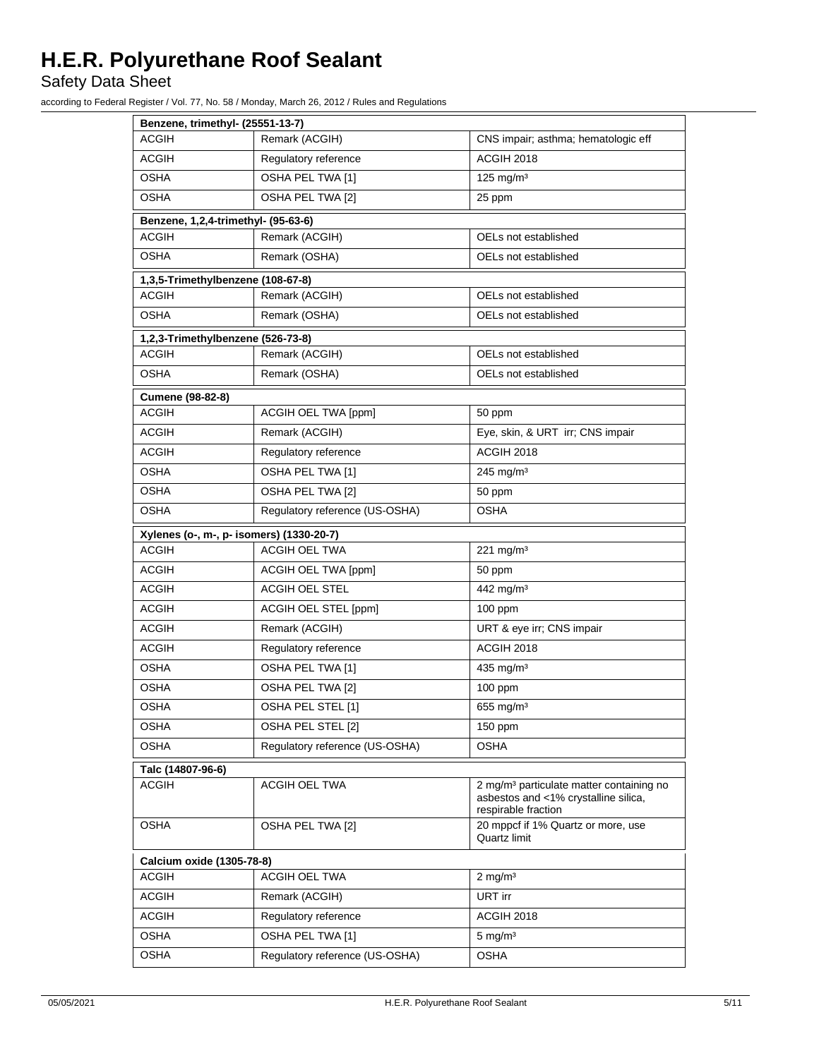Safety Data Sheet

according to Federal Register / Vol. 77, No. 58 / Monday, March 26, 2012 / Rules and Regulations

| Benzene, trimethyl- (25551-13-7)                       |                                                                                                                     |  |  |  |  |
|--------------------------------------------------------|---------------------------------------------------------------------------------------------------------------------|--|--|--|--|
| <b>ACGIH</b><br>Remark (ACGIH)                         | CNS impair; asthma; hematologic eff                                                                                 |  |  |  |  |
| <b>ACGIH</b><br>Regulatory reference                   | ACGIH 2018                                                                                                          |  |  |  |  |
| OSHA<br>OSHA PEL TWA [1]                               | $125$ mg/m <sup>3</sup>                                                                                             |  |  |  |  |
| OSHA<br>OSHA PEL TWA [2]                               | 25 ppm                                                                                                              |  |  |  |  |
| Benzene, 1,2,4-trimethyl- (95-63-6)                    |                                                                                                                     |  |  |  |  |
| <b>ACGIH</b><br>Remark (ACGIH)<br>OELs not established |                                                                                                                     |  |  |  |  |
| <b>OSHA</b><br>Remark (OSHA)                           | OELs not established                                                                                                |  |  |  |  |
| 1,3,5-Trimethylbenzene (108-67-8)                      |                                                                                                                     |  |  |  |  |
| <b>ACGIH</b><br>Remark (ACGIH)                         | OELs not established                                                                                                |  |  |  |  |
| OSHA<br>Remark (OSHA)                                  | OELs not established                                                                                                |  |  |  |  |
| 1,2,3-Trimethylbenzene (526-73-8)                      |                                                                                                                     |  |  |  |  |
| <b>ACGIH</b><br>Remark (ACGIH)                         | OELs not established                                                                                                |  |  |  |  |
| OSHA<br>Remark (OSHA)                                  | OELs not established                                                                                                |  |  |  |  |
| Cumene (98-82-8)                                       |                                                                                                                     |  |  |  |  |
| <b>ACGIH</b><br>ACGIH OEL TWA [ppm]                    | 50 ppm                                                                                                              |  |  |  |  |
| <b>ACGIH</b><br>Remark (ACGIH)                         | Eye, skin, & URT irr; CNS impair                                                                                    |  |  |  |  |
| ACGIH<br>Regulatory reference                          | ACGIH 2018                                                                                                          |  |  |  |  |
| OSHA<br>OSHA PEL TWA [1]                               | $245$ mg/m <sup>3</sup>                                                                                             |  |  |  |  |
| <b>OSHA</b><br>OSHA PEL TWA [2]                        | 50 ppm                                                                                                              |  |  |  |  |
| Regulatory reference (US-OSHA)<br>OSHA                 | OSHA                                                                                                                |  |  |  |  |
| Xylenes (o-, m-, p- isomers) (1330-20-7)               |                                                                                                                     |  |  |  |  |
| <b>ACGIH</b><br><b>ACGIH OEL TWA</b>                   | $221$ mg/m <sup>3</sup>                                                                                             |  |  |  |  |
| <b>ACGIH</b><br>ACGIH OEL TWA [ppm]                    | 50 ppm                                                                                                              |  |  |  |  |
| ACGIH<br><b>ACGIH OEL STEL</b>                         | 442 mg/m <sup>3</sup>                                                                                               |  |  |  |  |
| ACGIH<br>ACGIH OEL STEL [ppm]                          | $100$ ppm                                                                                                           |  |  |  |  |
| Remark (ACGIH)<br>ACGIH                                | URT & eye irr; CNS impair                                                                                           |  |  |  |  |
| <b>ACGIH</b><br>Regulatory reference                   | ACGIH 2018                                                                                                          |  |  |  |  |
| <b>OSHA</b><br>OSHA PEL TWA [1]                        | 435 mg/m $3$                                                                                                        |  |  |  |  |
| OSHA<br>OSHA PEL TWA [2]                               | $100$ ppm                                                                                                           |  |  |  |  |
| OSHA<br>OSHA PEL STEL [1]                              | 655 mg/m $3$                                                                                                        |  |  |  |  |
| OSHA PEL STEL [2]<br><b>OSHA</b>                       | 150 ppm                                                                                                             |  |  |  |  |
| Regulatory reference (US-OSHA)<br><b>OSHA</b>          | <b>OSHA</b>                                                                                                         |  |  |  |  |
| Talc (14807-96-6)                                      |                                                                                                                     |  |  |  |  |
| ACGIH OEL TWA<br>ACGIH                                 | 2 mg/m <sup>3</sup> particulate matter containing no<br>asbestos and <1% crystalline silica,<br>respirable fraction |  |  |  |  |
| <b>OSHA</b><br>OSHA PEL TWA [2]                        | 20 mppcf if 1% Quartz or more, use<br>Quartz limit                                                                  |  |  |  |  |
| Calcium oxide (1305-78-8)                              |                                                                                                                     |  |  |  |  |
| ACGIH OEL TWA<br><b>ACGIH</b>                          | $2 \text{ mg/m}^3$                                                                                                  |  |  |  |  |
| <b>ACGIH</b><br>Remark (ACGIH)                         | URT irr                                                                                                             |  |  |  |  |
| <b>ACGIH</b><br>Regulatory reference                   | ACGIH 2018                                                                                                          |  |  |  |  |
| <b>OSHA</b><br>OSHA PEL TWA [1]                        | $5 \text{ mg/m}^3$                                                                                                  |  |  |  |  |
| <b>OSHA</b><br>Regulatory reference (US-OSHA)          | OSHA                                                                                                                |  |  |  |  |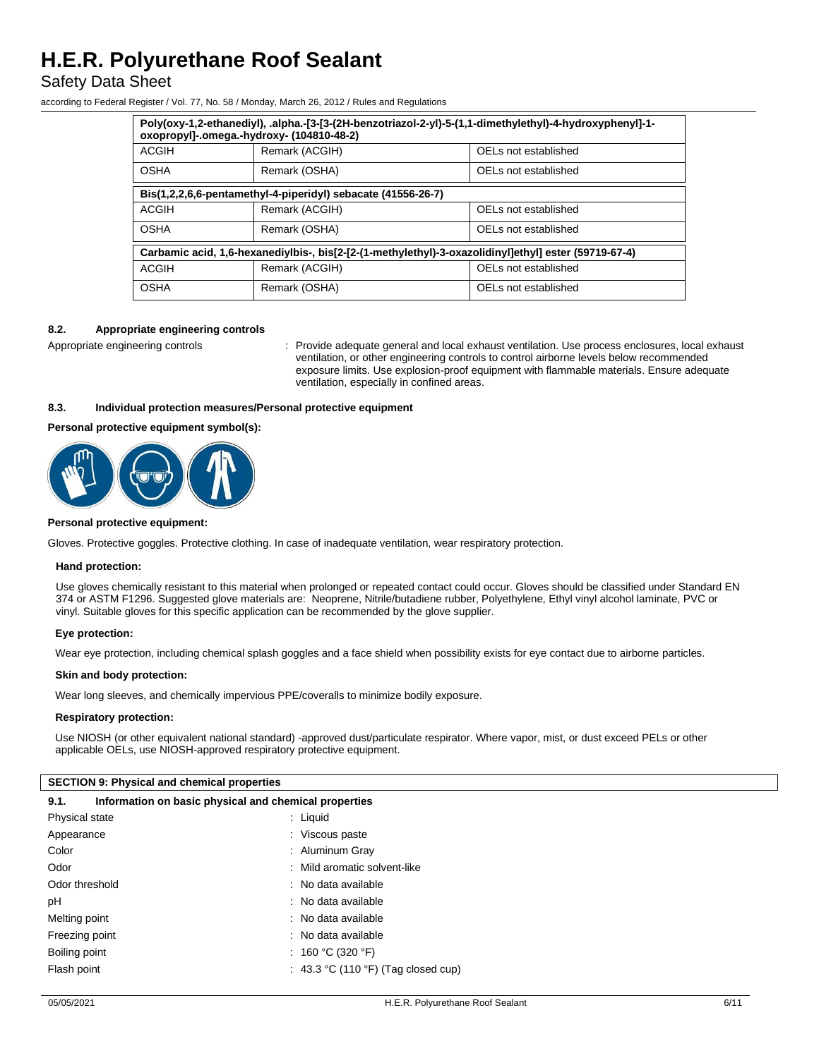# Safety Data Sheet

according to Federal Register / Vol. 77, No. 58 / Monday, March 26, 2012 / Rules and Regulations

| -1-Poly(oxy-1,2-ethanediyl), .alpha.-[3-[3-(2H-benzotriazol-2-yl)-5-(1,1-dimethylethyl)-4-hydroxyphenyl]-1<br>oxopropyl]-.omega.-hydroxy- (104810-48-2) |                |                      |  |  |
|---------------------------------------------------------------------------------------------------------------------------------------------------------|----------------|----------------------|--|--|
| <b>ACGIH</b>                                                                                                                                            | Remark (ACGIH) | OELs not established |  |  |
| <b>OSHA</b><br>Remark (OSHA)                                                                                                                            |                | OELs not established |  |  |
| Bis(1,2,2,6,6-pentamethyl-4-piperidyl) sebacate (41556-26-7)                                                                                            |                |                      |  |  |
| <b>ACGIH</b>                                                                                                                                            | Remark (ACGIH) | OELs not established |  |  |
| <b>OSHA</b>                                                                                                                                             | Remark (OSHA)  | OELs not established |  |  |
| Carbamic acid, 1,6-hexanediylbis-, bis[2-[2-(1-methylethyl)-3-oxazolidinyl]ethyl] ester (59719-67-4)                                                    |                |                      |  |  |
| <b>ACGIH</b>                                                                                                                                            | Remark (ACGIH) | OELs not established |  |  |
| <b>OSHA</b>                                                                                                                                             | Remark (OSHA)  | OELs not established |  |  |

### **8.2. Appropriate engineering controls**

Appropriate engineering controls : Provide adequate general and local exhaust ventilation. Use process enclosures, local exhaust ventilation, or other engineering controls to control airborne levels below recommended exposure limits. Use explosion-proof equipment with flammable materials. Ensure adequate ventilation, especially in confined areas.

### **8.3. Individual protection measures/Personal protective equipment**

**Personal protective equipment symbol(s):**



#### **Personal protective equipment:**

Gloves. Protective goggles. Protective clothing. In case of inadequate ventilation, wear respiratory protection.

#### **Hand protection:**

Use gloves chemically resistant to this material when prolonged or repeated contact could occur. Gloves should be classified under Standard EN 374 or ASTM F1296. Suggested glove materials are: Neoprene, Nitrile/butadiene rubber, Polyethylene, Ethyl vinyl alcohol laminate, PVC or vinyl. Suitable gloves for this specific application can be recommended by the glove supplier.

### **Eye protection:**

Wear eye protection, including chemical splash goggles and a face shield when possibility exists for eye contact due to airborne particles.

#### **Skin and body protection:**

Wear long sleeves, and chemically impervious PPE/coveralls to minimize bodily exposure.

#### **Respiratory protection:**

Use NIOSH (or other equivalent national standard) -approved dust/particulate respirator. Where vapor, mist, or dust exceed PELs or other applicable OELs, use NIOSH-approved respiratory protective equipment.

#### **SECTION 9: Physical and chemical properties**

| Information on basic physical and chemical properties<br>9.1. |                                     |
|---------------------------------------------------------------|-------------------------------------|
| Physical state                                                | $:$ Liquid                          |
| Appearance                                                    | : Viscous paste                     |
| Color                                                         | : Aluminum Gray                     |
| Odor                                                          | : Mild aromatic solvent-like        |
| Odor threshold                                                | : No data available                 |
| pH                                                            | : No data available                 |
| Melting point                                                 | : No data available                 |
| Freezing point                                                | : No data available                 |
| Boiling point                                                 | : 160 °C (320 °F)                   |
| Flash point                                                   | : 43.3 °C (110 °F) (Tag closed cup) |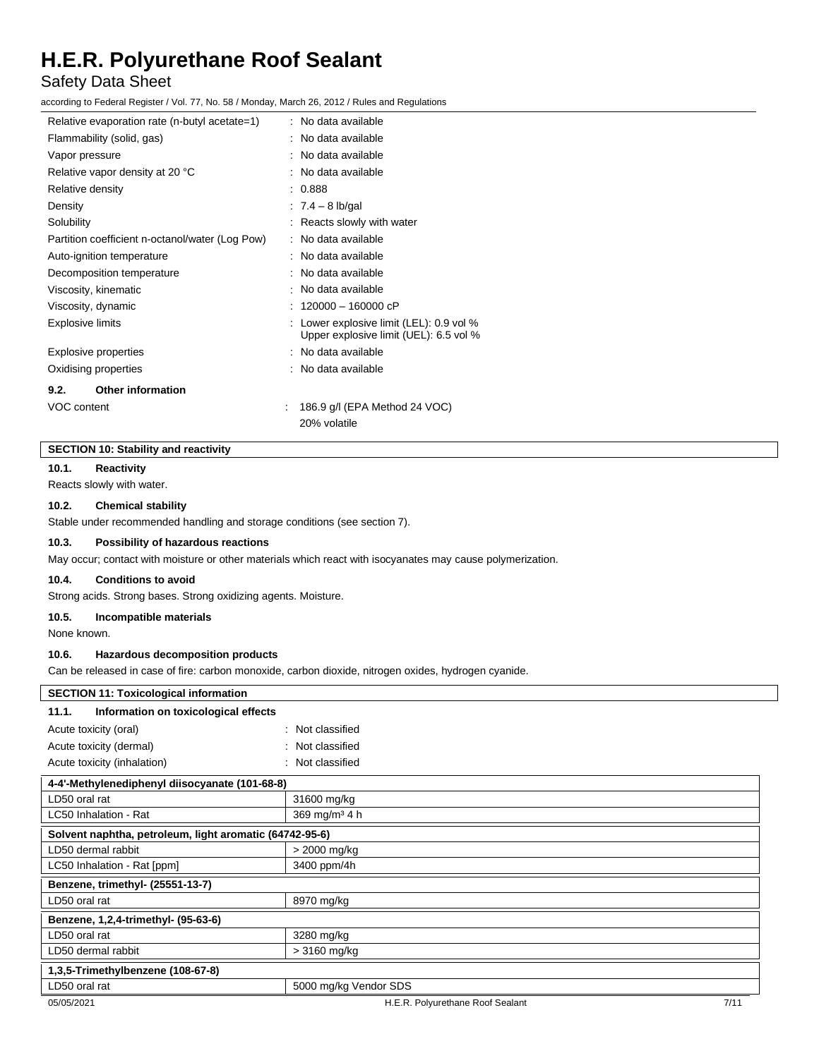# Safety Data Sheet

according to Federal Register / Vol. 77, No. 58 / Monday, March 26, 2012 / Rules and Regulations

| Relative evaporation rate (n-butyl acetate=1)   | : No data available                                                                |
|-------------------------------------------------|------------------------------------------------------------------------------------|
| Flammability (solid, gas)                       | : No data available                                                                |
| Vapor pressure                                  | : No data available                                                                |
| Relative vapor density at 20 °C                 | : No data available                                                                |
| Relative density                                | : 0.888                                                                            |
| Density                                         | : $7.4 - 8$ lb/gal                                                                 |
| Solubility                                      | : Reacts slowly with water                                                         |
| Partition coefficient n-octanol/water (Log Pow) | : No data available                                                                |
| Auto-ignition temperature                       | : No data available                                                                |
| Decomposition temperature                       | : No data available                                                                |
| Viscosity, kinematic                            | : No data available                                                                |
| Viscosity, dynamic                              | 120000 - 160000 cP                                                                 |
| <b>Explosive limits</b>                         | : Lower explosive limit (LEL): 0.9 vol %<br>Upper explosive limit (UEL): 6.5 vol % |
| <b>Explosive properties</b>                     | : No data available                                                                |
| Oxidising properties                            | : No data available                                                                |
| <b>Other information</b><br>9.2.                |                                                                                    |
| <b>VOC content</b>                              | 186.9 g/l (EPA Method 24 VOC)                                                      |
|                                                 | 20% volatile                                                                       |

## **SECTION 10: Stability and reactivity**

#### **10.1. Reactivity**

Reacts slowly with water.

## **10.2. Chemical stability**

Stable under recommended handling and storage conditions (see section 7).

### **10.3. Possibility of hazardous reactions**

May occur; contact with moisture or other materials which react with isocyanates may cause polymerization.

#### **10.4. Conditions to avoid**

Strong acids. Strong bases. Strong oxidizing agents. Moisture.

## **10.5. Incompatible materials**

None known.

# **10.6. Hazardous decomposition products**

Can be released in case of fire: carbon monoxide, carbon dioxide, nitrogen oxides, hydrogen cyanide.

| <b>SECTION 11: Toxicological information</b>            |                                  |      |
|---------------------------------------------------------|----------------------------------|------|
|                                                         |                                  |      |
| Information on toxicological effects<br>11.1.           |                                  |      |
| Acute toxicity (oral)                                   | : Not classified                 |      |
| Acute toxicity (dermal)                                 | : Not classified                 |      |
| Acute toxicity (inhalation)                             | : Not classified                 |      |
| 4-4'-Methylenediphenyl diisocyanate (101-68-8)          |                                  |      |
| LD50 oral rat                                           | 31600 mg/kg                      |      |
| LC50 Inhalation - Rat                                   | 369 mg/m <sup>3</sup> 4 h        |      |
| Solvent naphtha, petroleum, light aromatic (64742-95-6) |                                  |      |
| LD50 dermal rabbit                                      | > 2000 mg/kg                     |      |
| LC50 Inhalation - Rat [ppm]                             | 3400 ppm/4h                      |      |
| Benzene, trimethyl- (25551-13-7)                        |                                  |      |
| LD50 oral rat                                           | 8970 mg/kg                       |      |
| Benzene, 1,2,4-trimethyl- (95-63-6)                     |                                  |      |
| LD50 oral rat                                           | 3280 mg/kg                       |      |
| LD50 dermal rabbit                                      | $>3160$ mg/kg                    |      |
| 1,3,5-Trimethylbenzene (108-67-8)                       |                                  |      |
| LD50 oral rat                                           | 5000 mg/kg Vendor SDS            |      |
| 05/05/2021                                              | H.E.R. Polyurethane Roof Sealant | 7/11 |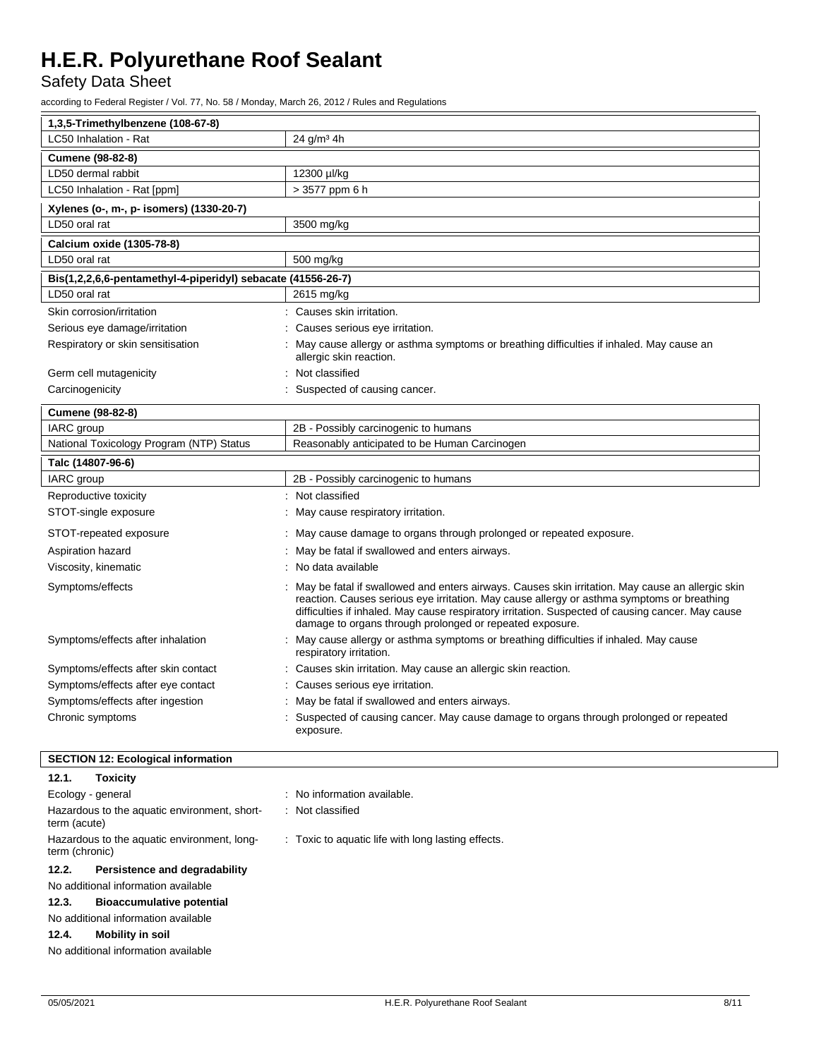Safety Data Sheet

according to Federal Register / Vol. 77, No. 58 / Monday, March 26, 2012 / Rules and Regulations

| 1,3,5-Trimethylbenzene (108-67-8)                            |                                                                                                                                                                                                                                                                                                                                                                 |  |
|--------------------------------------------------------------|-----------------------------------------------------------------------------------------------------------------------------------------------------------------------------------------------------------------------------------------------------------------------------------------------------------------------------------------------------------------|--|
| LC50 Inhalation - Rat                                        | $24$ g/m <sup>3</sup> 4h                                                                                                                                                                                                                                                                                                                                        |  |
| <b>Cumene (98-82-8)</b>                                      |                                                                                                                                                                                                                                                                                                                                                                 |  |
| LD50 dermal rabbit                                           | 12300 µl/kg                                                                                                                                                                                                                                                                                                                                                     |  |
| LC50 Inhalation - Rat [ppm]                                  | > 3577 ppm 6 h                                                                                                                                                                                                                                                                                                                                                  |  |
| Xylenes (o-, m-, p- isomers) (1330-20-7)                     |                                                                                                                                                                                                                                                                                                                                                                 |  |
| LD50 oral rat                                                | 3500 mg/kg                                                                                                                                                                                                                                                                                                                                                      |  |
| Calcium oxide (1305-78-8)                                    |                                                                                                                                                                                                                                                                                                                                                                 |  |
| LD50 oral rat                                                | 500 mg/kg                                                                                                                                                                                                                                                                                                                                                       |  |
| Bis(1,2,2,6,6-pentamethyl-4-piperidyl) sebacate (41556-26-7) |                                                                                                                                                                                                                                                                                                                                                                 |  |
| LD50 oral rat                                                | 2615 mg/kg                                                                                                                                                                                                                                                                                                                                                      |  |
| Skin corrosion/irritation                                    | : Causes skin irritation.                                                                                                                                                                                                                                                                                                                                       |  |
| Serious eye damage/irritation                                | Causes serious eye irritation.                                                                                                                                                                                                                                                                                                                                  |  |
| Respiratory or skin sensitisation                            | : May cause allergy or asthma symptoms or breathing difficulties if inhaled. May cause an<br>allergic skin reaction.                                                                                                                                                                                                                                            |  |
| Germ cell mutagenicity                                       | : Not classified                                                                                                                                                                                                                                                                                                                                                |  |
| Carcinogenicity                                              | : Suspected of causing cancer.                                                                                                                                                                                                                                                                                                                                  |  |
| <b>Cumene (98-82-8)</b>                                      |                                                                                                                                                                                                                                                                                                                                                                 |  |
| IARC group                                                   | 2B - Possibly carcinogenic to humans                                                                                                                                                                                                                                                                                                                            |  |
| National Toxicology Program (NTP) Status                     | Reasonably anticipated to be Human Carcinogen                                                                                                                                                                                                                                                                                                                   |  |
| Talc (14807-96-6)                                            |                                                                                                                                                                                                                                                                                                                                                                 |  |
| IARC group                                                   | 2B - Possibly carcinogenic to humans                                                                                                                                                                                                                                                                                                                            |  |
| Reproductive toxicity                                        | Not classified                                                                                                                                                                                                                                                                                                                                                  |  |
| STOT-single exposure                                         | May cause respiratory irritation.                                                                                                                                                                                                                                                                                                                               |  |
| STOT-repeated exposure                                       | : May cause damage to organs through prolonged or repeated exposure.                                                                                                                                                                                                                                                                                            |  |
| Aspiration hazard                                            | : May be fatal if swallowed and enters airways.                                                                                                                                                                                                                                                                                                                 |  |
| Viscosity, kinematic                                         | : No data available                                                                                                                                                                                                                                                                                                                                             |  |
| Symptoms/effects                                             | May be fatal if swallowed and enters airways. Causes skin irritation. May cause an allergic skin<br>reaction. Causes serious eye irritation. May cause allergy or asthma symptoms or breathing<br>difficulties if inhaled. May cause respiratory irritation. Suspected of causing cancer. May cause<br>damage to organs through prolonged or repeated exposure. |  |
| Symptoms/effects after inhalation                            | May cause allergy or asthma symptoms or breathing difficulties if inhaled. May cause<br>respiratory irritation.                                                                                                                                                                                                                                                 |  |
| Symptoms/effects after skin contact                          | Causes skin irritation. May cause an allergic skin reaction.                                                                                                                                                                                                                                                                                                    |  |
| Symptoms/effects after eye contact                           | Causes serious eye irritation.                                                                                                                                                                                                                                                                                                                                  |  |
| Symptoms/effects after ingestion                             | May be fatal if swallowed and enters airways.                                                                                                                                                                                                                                                                                                                   |  |
| Chronic symptoms                                             | Suspected of causing cancer. May cause damage to organs through prolonged or repeated<br>exposure.                                                                                                                                                                                                                                                              |  |

# **SECTION 12: Ecological information**

| Toxicity<br>12.1.                                             |                                                    |
|---------------------------------------------------------------|----------------------------------------------------|
| Ecology - general                                             | : No information available.                        |
| Hazardous to the aquatic environment, short-<br>term (acute)  | : Not classified                                   |
| Hazardous to the aquatic environment, long-<br>term (chronic) | : Toxic to aquatic life with long lasting effects. |
| Persistence and degradability<br>12.2.                        |                                                    |
| No additional information available                           |                                                    |
| <b>Bioaccumulative potential</b><br>12.3.                     |                                                    |

No additional information available

# **12.4. Mobility in soil**

No additional information available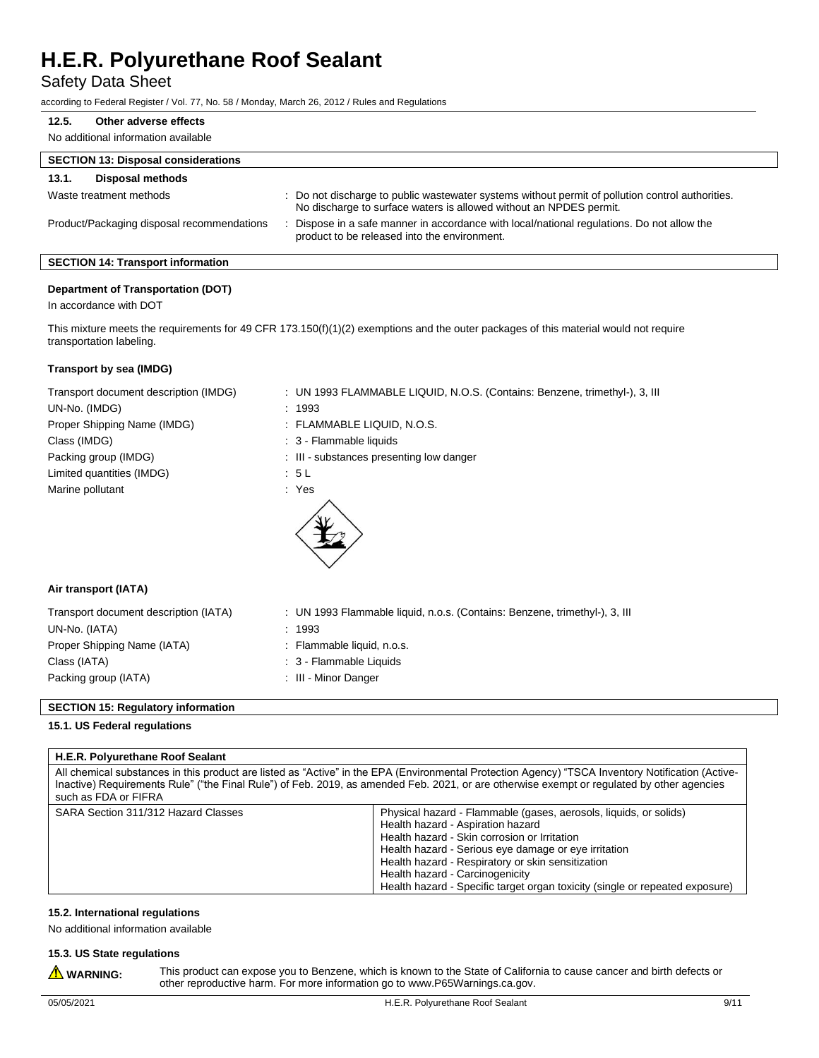Safety Data Sheet

according to Federal Register / Vol. 77, No. 58 / Monday, March 26, 2012 / Rules and Regulations

| Other adverse effects<br>12.5.             |                                                                                                                                                                        |
|--------------------------------------------|------------------------------------------------------------------------------------------------------------------------------------------------------------------------|
| No additional information available        |                                                                                                                                                                        |
| <b>SECTION 13: Disposal considerations</b> |                                                                                                                                                                        |
| <b>Disposal methods</b><br>13.1.           |                                                                                                                                                                        |
| Waste treatment methods                    | : Do not discharge to public wastewater systems without permit of pollution control authorities.<br>No discharge to surface waters is allowed without an NPDES permit. |
| Product/Packaging disposal recommendations | Dispose in a safe manner in accordance with local/national regulations. Do not allow the<br>product to be released into the environment.                               |

# **SECTION 14: Transport information**

## **Department of Transportation (DOT)**

In accordance with DOT

This mixture meets the requirements for 49 CFR 173.150(f)(1)(2) exemptions and the outer packages of this material would not require transportation labeling.

#### **Transport by sea (IMDG)**

| Transport document description (IMDG) | : UN 1993 FLAMMABLE LIQUID, N.O.S. (Contains: Benzene, trimethyl-), 3, III |
|---------------------------------------|----------------------------------------------------------------------------|
| UN-No. (IMDG)                         | : 1993                                                                     |
| Proper Shipping Name (IMDG)           | : FLAMMABLE LIQUID, N.O.S.                                                 |
| Class (IMDG)                          | : 3 - Flammable liquids                                                    |
| Packing group (IMDG)                  | : III - substances presenting low danger                                   |
| Limited quantities (IMDG)             | : 5 L                                                                      |
| Marine pollutant                      | : Yes                                                                      |
|                                       |                                                                            |

### **Air transport (IATA)**

| Transport document description (IATA) | : UN 1993 Flammable liquid, n.o.s. (Contains: Benzene, trimethyl-), 3, Ill |
|---------------------------------------|----------------------------------------------------------------------------|
| UN-No. (IATA)                         | : 1993                                                                     |
| Proper Shipping Name (IATA)           | : Flammable liquid, n.o.s.                                                 |
| Class (IATA)                          | : 3 - Flammable Liquids                                                    |
| Packing group (IATA)                  | : III - Minor Danger                                                       |

### **SECTION 15: Regulatory information**

#### **15.1. US Federal regulations**

#### **H.E.R. Polyurethane Roof Sealant**

All chemical substances in this product are listed as "Active" in the EPA (Environmental Protection Agency) "TSCA Inventory Notification (Active-Inactive) Requirements Rule" ("the Final Rule") of Feb. 2019, as amended Feb. 2021, or are otherwise exempt or regulated by other agencies such as FDA or FIFRA

| SARA Section 311/312 Hazard Classes | Physical hazard - Flammable (gases, aerosols, liquids, or solids)            |
|-------------------------------------|------------------------------------------------------------------------------|
|                                     | Health hazard - Aspiration hazard                                            |
|                                     | Health hazard - Skin corrosion or Irritation                                 |
|                                     | Health hazard - Serious eye damage or eye irritation                         |
|                                     | Health hazard - Respiratory or skin sensitization                            |
|                                     | Health hazard - Carcinogenicity                                              |
|                                     | Health hazard - Specific target organ toxicity (single or repeated exposure) |

#### **15.2. International regulations**

No additional information available

#### **15.3. US State regulations** Â

This product can expose you to Benzene, which is known to the State of California to cause cancer and birth defects or other reproductive harm. For more information go to www.P65Warnings.ca.gov.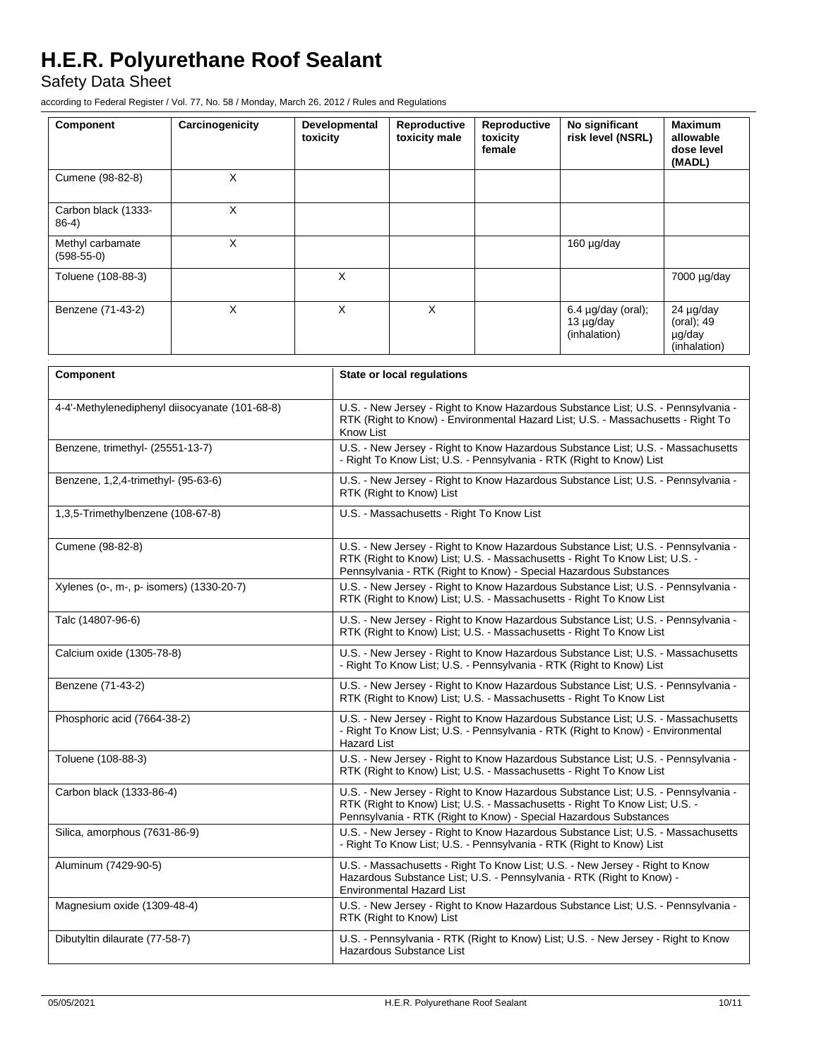Safety Data Sheet

according to Federal Register / Vol. 77, No. 58 / Monday, March 26, 2012 / Rules and Regulations

| Component                        | Carcinogenicity | Developmental<br>toxicity | Reproductive<br>toxicity male | Reproductive<br>toxicity<br>female | No significant<br>risk level (NSRL)               | <b>Maximum</b><br>allowable<br>dose level<br>(MADL) |
|----------------------------------|-----------------|---------------------------|-------------------------------|------------------------------------|---------------------------------------------------|-----------------------------------------------------|
| Cumene (98-82-8)                 | X               |                           |                               |                                    |                                                   |                                                     |
| Carbon black (1333-<br>$86-4)$   | X               |                           |                               |                                    |                                                   |                                                     |
| Methyl carbamate<br>$(598-55-0)$ | X               |                           |                               |                                    | 160 µg/day                                        |                                                     |
| Toluene (108-88-3)               |                 | X                         |                               |                                    |                                                   | 7000 µg/day                                         |
| Benzene (71-43-2)                | X               | X                         | X                             |                                    | $6.4$ µg/day (oral);<br>13 µg/day<br>(inhalation) | 24 µg/day<br>(oral); 49<br>µg/day<br>(inhalation)   |

| Component                                      | <b>State or local requlations</b>                                                                                                                                                                                                     |  |  |
|------------------------------------------------|---------------------------------------------------------------------------------------------------------------------------------------------------------------------------------------------------------------------------------------|--|--|
| 4-4'-Methylenediphenyl diisocyanate (101-68-8) | U.S. - New Jersey - Right to Know Hazardous Substance List; U.S. - Pennsylvania -<br>RTK (Right to Know) - Environmental Hazard List; U.S. - Massachusetts - Right To<br>Know List                                                    |  |  |
| Benzene, trimethyl- (25551-13-7)               | U.S. - New Jersey - Right to Know Hazardous Substance List; U.S. - Massachusetts<br>- Right To Know List; U.S. - Pennsylvania - RTK (Right to Know) List                                                                              |  |  |
| Benzene, 1,2,4-trimethyl- (95-63-6)            | U.S. - New Jersey - Right to Know Hazardous Substance List; U.S. - Pennsylvania -<br>RTK (Right to Know) List                                                                                                                         |  |  |
| 1,3,5-Trimethylbenzene (108-67-8)              | U.S. - Massachusetts - Right To Know List                                                                                                                                                                                             |  |  |
| Cumene (98-82-8)                               | U.S. - New Jersey - Right to Know Hazardous Substance List; U.S. - Pennsylvania -<br>RTK (Right to Know) List; U.S. - Massachusetts - Right To Know List; U.S. -<br>Pennsylvania - RTK (Right to Know) - Special Hazardous Substances |  |  |
| Xylenes (o-, m-, p- isomers) (1330-20-7)       | U.S. - New Jersey - Right to Know Hazardous Substance List: U.S. - Pennsylvania -<br>RTK (Right to Know) List: U.S. - Massachusetts - Right To Know List                                                                              |  |  |
| Talc (14807-96-6)                              | U.S. - New Jersey - Right to Know Hazardous Substance List; U.S. - Pennsylvania -<br>RTK (Right to Know) List; U.S. - Massachusetts - Right To Know List                                                                              |  |  |
| Calcium oxide (1305-78-8)                      | U.S. - New Jersey - Right to Know Hazardous Substance List; U.S. - Massachusetts<br>- Right To Know List; U.S. - Pennsylvania - RTK (Right to Know) List                                                                              |  |  |
| Benzene (71-43-2)                              | U.S. - New Jersey - Right to Know Hazardous Substance List; U.S. - Pennsylvania -<br>RTK (Right to Know) List; U.S. - Massachusetts - Right To Know List                                                                              |  |  |
| Phosphoric acid (7664-38-2)                    | U.S. - New Jersey - Right to Know Hazardous Substance List; U.S. - Massachusetts<br>- Right To Know List; U.S. - Pennsylvania - RTK (Right to Know) - Environmental<br><b>Hazard List</b>                                             |  |  |
| Toluene (108-88-3)                             | U.S. - New Jersey - Right to Know Hazardous Substance List; U.S. - Pennsylvania -<br>RTK (Right to Know) List; U.S. - Massachusetts - Right To Know List                                                                              |  |  |
| Carbon black (1333-86-4)                       | U.S. - New Jersey - Right to Know Hazardous Substance List; U.S. - Pennsylvania -<br>RTK (Right to Know) List; U.S. - Massachusetts - Right To Know List; U.S. -<br>Pennsylvania - RTK (Right to Know) - Special Hazardous Substances |  |  |
| Silica, amorphous (7631-86-9)                  | U.S. - New Jersey - Right to Know Hazardous Substance List; U.S. - Massachusetts<br>- Right To Know List; U.S. - Pennsylvania - RTK (Right to Know) List                                                                              |  |  |
| Aluminum (7429-90-5)                           | U.S. - Massachusetts - Right To Know List; U.S. - New Jersey - Right to Know<br>Hazardous Substance List; U.S. - Pennsylvania - RTK (Right to Know) -<br><b>Environmental Hazard List</b>                                             |  |  |
| Magnesium oxide (1309-48-4)                    | U.S. - New Jersey - Right to Know Hazardous Substance List; U.S. - Pennsylvania -<br>RTK (Right to Know) List                                                                                                                         |  |  |
| Dibutyltin dilaurate (77-58-7)                 | U.S. - Pennsylvania - RTK (Right to Know) List; U.S. - New Jersey - Right to Know<br>Hazardous Substance List                                                                                                                         |  |  |